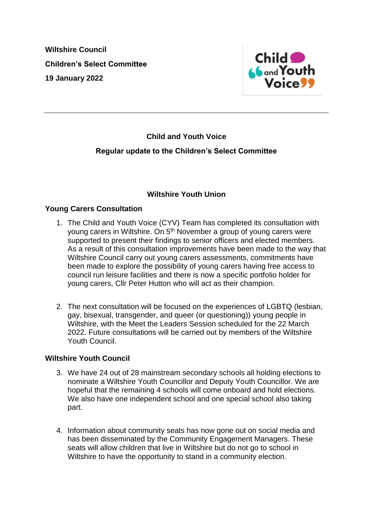**Wiltshire Council Children's Select Committee 19 January 2022**



# **Child and Youth Voice Regular update to the Children's Select Committee**

# **Wiltshire Youth Union**

# **Young Carers Consultation**

- 1. The Child and Youth Voice (CYV) Team has completed its consultation with young carers in Wiltshire. On 5<sup>th</sup> November a group of young carers were supported to present their findings to senior officers and elected members. As a result of this consultation improvements have been made to the way that Wiltshire Council carry out young carers assessments, commitments have been made to explore the possibility of young carers having free access to council run leisure facilities and there is now a specific portfolio holder for young carers, Cllr Peter Hutton who will act as their champion.
- 2. The next consultation will be focused on the experiences of LGBTQ (lesbian, gay, bisexual, transgender, and queer (or questioning)) young people in Wiltshire, with the Meet the Leaders Session scheduled for the 22 March 2022. Future consultations will be carried out by members of the Wiltshire Youth Council.

#### **Wiltshire Youth Council**

- 3. We have 24 out of 28 mainstream secondary schools all holding elections to nominate a Wiltshire Youth Councillor and Deputy Youth Councillor. We are hopeful that the remaining 4 schools will come onboard and hold elections. We also have one independent school and one special school also taking part.
- 4. Information about community seats has now gone out on social media and has been disseminated by the Community Engagement Managers. These seats will allow children that live in Wiltshire but do not go to school in Wiltshire to have the opportunity to stand in a community election.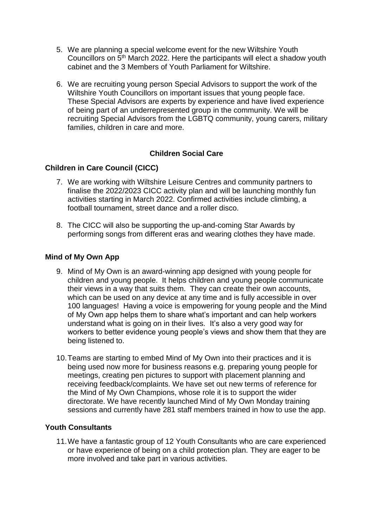- 5. We are planning a special welcome event for the new Wiltshire Youth Councillors on 5th March 2022. Here the participants will elect a shadow youth cabinet and the 3 Members of Youth Parliament for Wiltshire.
- 6. We are recruiting young person Special Advisors to support the work of the Wiltshire Youth Councillors on important issues that young people face. These Special Advisors are experts by experience and have lived experience of being part of an underrepresented group in the community. We will be recruiting Special Advisors from the LGBTQ community, young carers, military families, children in care and more.

# **Children Social Care**

# **Children in Care Council (CICC)**

- 7. We are working with Wiltshire Leisure Centres and community partners to finalise the 2022/2023 CICC activity plan and will be launching monthly fun activities starting in March 2022. Confirmed activities include climbing, a football tournament, street dance and a roller disco.
- 8. The CICC will also be supporting the up-and-coming Star Awards by performing songs from different eras and wearing clothes they have made.

#### **Mind of My Own App**

- 9. Mind of My Own is an award-winning app designed with young people for children and young people. It helps children and young people communicate their views in a way that suits them. They can create their own accounts, which can be used on any device at any time and is fully accessible in over 100 languages! Having a voice is empowering for young people and the Mind of My Own app helps them to share what's important and can help workers understand what is going on in their lives. It's also a very good way for workers to better evidence young people's views and show them that they are being listened to.
- 10.Teams are starting to embed Mind of My Own into their practices and it is being used now more for business reasons e.g. preparing young people for meetings, creating pen pictures to support with placement planning and receiving feedback/complaints. We have set out new terms of reference for the Mind of My Own Champions, whose role it is to support the wider directorate. We have recently launched Mind of My Own Monday training sessions and currently have 281 staff members trained in how to use the app.

#### **Youth Consultants**

11.We have a fantastic group of 12 Youth Consultants who are care experienced or have experience of being on a child protection plan. They are eager to be more involved and take part in various activities.